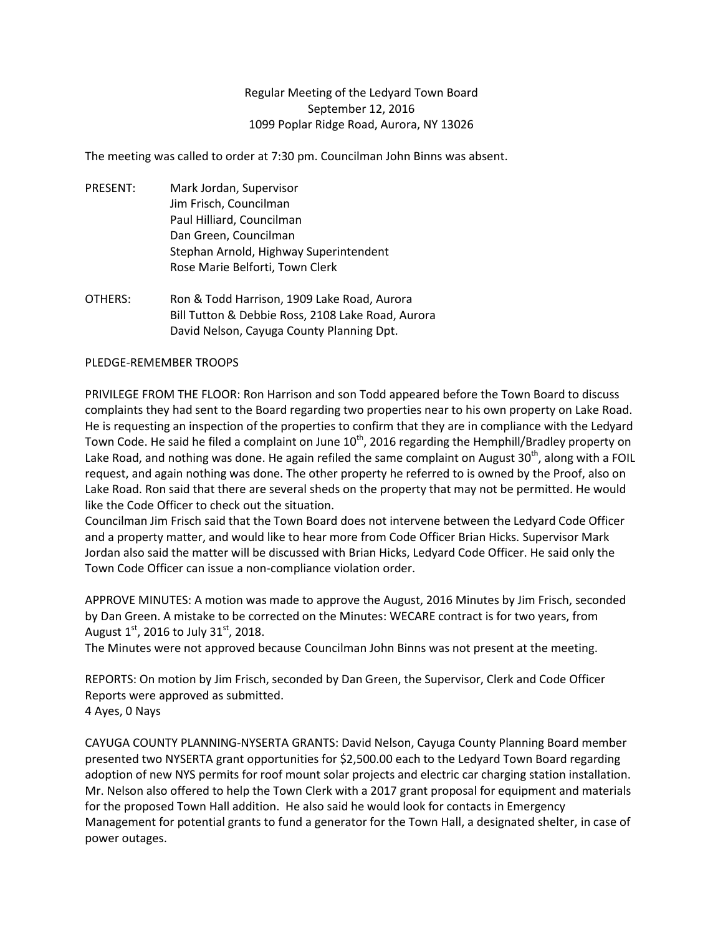## Regular Meeting of the Ledyard Town Board September 12, 2016 1099 Poplar Ridge Road, Aurora, NY 13026

The meeting was called to order at 7:30 pm. Councilman John Binns was absent.

- PRESENT: Mark Jordan, Supervisor Jim Frisch, Councilman Paul Hilliard, Councilman Dan Green, Councilman Stephan Arnold, Highway Superintendent Rose Marie Belforti, Town Clerk
- OTHERS: Ron & Todd Harrison, 1909 Lake Road, Aurora Bill Tutton & Debbie Ross, 2108 Lake Road, Aurora David Nelson, Cayuga County Planning Dpt.

## PLEDGE-REMEMBER TROOPS

PRIVILEGE FROM THE FLOOR: Ron Harrison and son Todd appeared before the Town Board to discuss complaints they had sent to the Board regarding two properties near to his own property on Lake Road. He is requesting an inspection of the properties to confirm that they are in compliance with the Ledyard Town Code. He said he filed a complaint on June 10<sup>th</sup>, 2016 regarding the Hemphill/Bradley property on Lake Road, and nothing was done. He again refiled the same complaint on August 30<sup>th</sup>, along with a FOIL request, and again nothing was done. The other property he referred to is owned by the Proof, also on Lake Road. Ron said that there are several sheds on the property that may not be permitted. He would like the Code Officer to check out the situation.

Councilman Jim Frisch said that the Town Board does not intervene between the Ledyard Code Officer and a property matter, and would like to hear more from Code Officer Brian Hicks. Supervisor Mark Jordan also said the matter will be discussed with Brian Hicks, Ledyard Code Officer. He said only the Town Code Officer can issue a non-compliance violation order.

APPROVE MINUTES: A motion was made to approve the August, 2016 Minutes by Jim Frisch, seconded by Dan Green. A mistake to be corrected on the Minutes: WECARE contract is for two years, from August  $1^{st}$ , 2016 to July 31st, 2018.

The Minutes were not approved because Councilman John Binns was not present at the meeting.

REPORTS: On motion by Jim Frisch, seconded by Dan Green, the Supervisor, Clerk and Code Officer Reports were approved as submitted. 4 Ayes, 0 Nays

CAYUGA COUNTY PLANNING-NYSERTA GRANTS: David Nelson, Cayuga County Planning Board member presented two NYSERTA grant opportunities for \$2,500.00 each to the Ledyard Town Board regarding adoption of new NYS permits for roof mount solar projects and electric car charging station installation. Mr. Nelson also offered to help the Town Clerk with a 2017 grant proposal for equipment and materials for the proposed Town Hall addition. He also said he would look for contacts in Emergency Management for potential grants to fund a generator for the Town Hall, a designated shelter, in case of power outages.